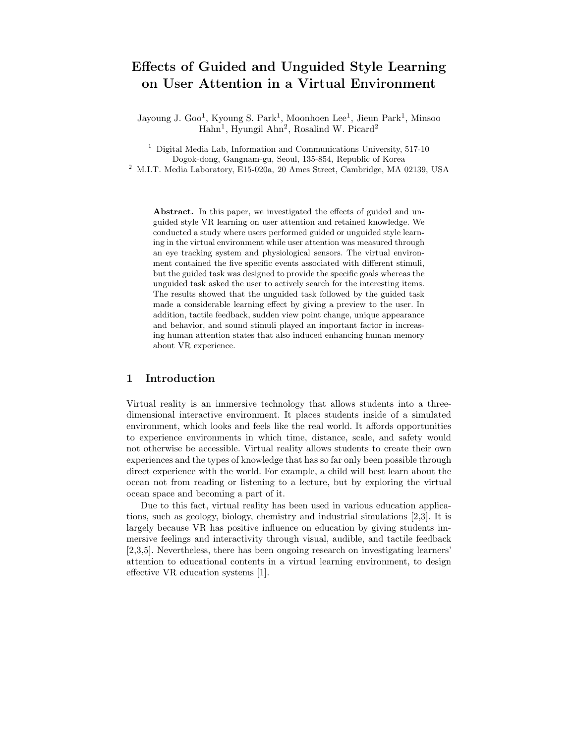# **Effects of Guided and Unguided Style Learning on User Attention in a Virtual Environment**

Jayoung J. Goo<sup>1</sup>, Kyoung S. Park<sup>1</sup>, Moonhoen Lee<sup>1</sup>, Jieun Park<sup>1</sup>, Minsoo  $\text{Hahn}^1$ , Hyungil Ahn<sup>2</sup>, Rosalind W. Picard<sup>2</sup>

<sup>1</sup> Digital Media Lab, Information and Communications University,  $517-10$ Dogok-dong, Gangnam-gu, Seoul, 135-854, Republic of Korea

 $^2$  M.I.T. Media Laboratory, E15-020a, 20 Ames Street, Cambridge, MA 02139, USA

**Abstract.** In this paper, we investigated the effects of guided and unguided style VR learning on user attention and retained knowledge. We conducted a study where users performed guided or unguided style learning in the virtual environment while user attention was measured through an eye tracking system and physiological sensors. The virtual environment contained the five specific events associated with different stimuli, but the guided task was designed to provide the specific goals whereas the unguided task asked the user to actively search for the interesting items. The results showed that the unguided task followed by the guided task made a considerable learning effect by giving a preview to the user. In addition, tactile feedback, sudden view point change, unique appearance and behavior, and sound stimuli played an important factor in increasing human attention states that also induced enhancing human memory about VR experience.

# **1 Introduction**

Virtual reality is an immersive technology that allows students into a threedimensional interactive environment. It places students inside of a simulated environment, which looks and feels like the real world. It affords opportunities to experience environments in which time, distance, scale, and safety would not otherwise be accessible. Virtual reality allows students to create their own experiences and the types of knowledge that has so far only been possible through direct experience with the world. For example, a child will best learn about the ocean not from reading or listening to a lecture, but by exploring the virtual ocean space and becoming a part of it.

Due to this fact, virtual reality has been used in various education applications, such as geology, biology, chemistry and industrial simulations [2,3]. It is largely because VR has positive influence on education by giving students immersive feelings and interactivity through visual, audible, and tactile feedback [2,3,5]. Nevertheless, there has been ongoing research on investigating learners' attention to educational contents in a virtual learning environment, to design effective VR education systems [1].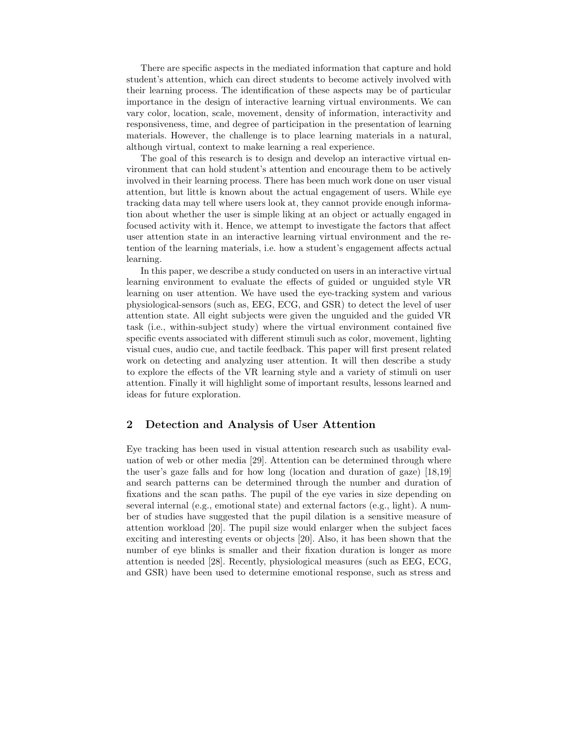There are specific aspects in the mediated information that capture and hold student's attention, which can direct students to become actively involved with their learning process. The identification of these aspects may be of particular importance in the design of interactive learning virtual environments. We can vary color, location, scale, movement, density of information, interactivity and responsiveness, time, and degree of participation in the presentation of learning materials. However, the challenge is to place learning materials in a natural, although virtual, context to make learning a real experience.

The goal of this research is to design and develop an interactive virtual environment that can hold student's attention and encourage them to be actively involved in their learning process. There has been much work done on user visual attention, but little is known about the actual engagement of users. While eye tracking data may tell where users look at, they cannot provide enough information about whether the user is simple liking at an object or actually engaged in focused activity with it. Hence, we attempt to investigate the factors that affect user attention state in an interactive learning virtual environment and the retention of the learning materials, i.e. how a student's engagement affects actual learning.

In this paper, we describe a study conducted on users in an interactive virtual learning environment to evaluate the effects of guided or unguided style VR learning on user attention. We have used the eye-tracking system and various physiological-sensors (such as, EEG, ECG, and GSR) to detect the level of user attention state. All eight subjects were given the unguided and the guided VR task (i.e., within-subject study) where the virtual environment contained five specific events associated with different stimuli such as color, movement, lighting visual cues, audio cue, and tactile feedback. This paper will first present related work on detecting and analyzing user attention. It will then describe a study to explore the effects of the VR learning style and a variety of stimuli on user attention. Finally it will highlight some of important results, lessons learned and ideas for future exploration.

# **2 Detection and Analysis of User Attention**

Eye tracking has been used in visual attention research such as usability evaluation of web or other media [29]. Attention can be determined through where the user's gaze falls and for how long (location and duration of gaze) [18,19] and search patterns can be determined through the number and duration of fixations and the scan paths. The pupil of the eye varies in size depending on several internal (e.g., emotional state) and external factors (e.g., light). A number of studies have suggested that the pupil dilation is a sensitive measure of attention workload [20]. The pupil size would enlarger when the subject faces exciting and interesting events or objects [20]. Also, it has been shown that the number of eye blinks is smaller and their fixation duration is longer as more attention is needed [28]. Recently, physiological measures (such as EEG, ECG, and GSR) have been used to determine emotional response, such as stress and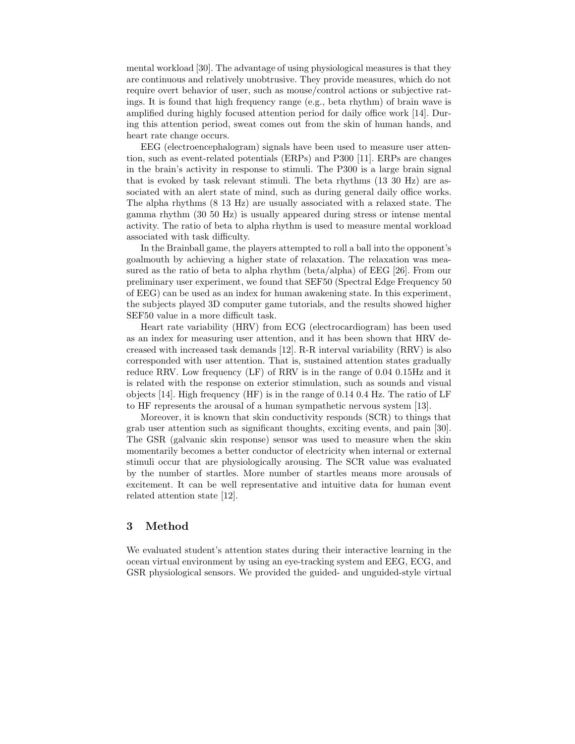mental workload [30]. The advantage of using physiological measures is that they are continuous and relatively unobtrusive. They provide measures, which do not require overt behavior of user, such as mouse/control actions or subjective ratings. It is found that high frequency range (e.g., beta rhythm) of brain wave is amplified during highly focused attention period for daily office work [14]. During this attention period, sweat comes out from the skin of human hands, and heart rate change occurs.

EEG (electroencephalogram) signals have been used to measure user attention, such as event-related potentials (ERPs) and P300 [11]. ERPs are changes in the brain's activity in response to stimuli. The P300 is a large brain signal that is evoked by task relevant stimuli. The beta rhythms (13 30 Hz) are associated with an alert state of mind, such as during general daily office works. The alpha rhythms (8 13 Hz) are usually associated with a relaxed state. The gamma rhythm (30 50 Hz) is usually appeared during stress or intense mental activity. The ratio of beta to alpha rhythm is used to measure mental workload associated with task difficulty.

In the Brainball game, the players attempted to roll a ball into the opponent's goalmouth by achieving a higher state of relaxation. The relaxation was measured as the ratio of beta to alpha rhythm (beta/alpha) of EEG [26]. From our preliminary user experiment, we found that SEF50 (Spectral Edge Frequency 50 of EEG) can be used as an index for human awakening state. In this experiment, the subjects played 3D computer game tutorials, and the results showed higher SEF50 value in a more difficult task.

Heart rate variability (HRV) from ECG (electrocardiogram) has been used as an index for measuring user attention, and it has been shown that HRV decreased with increased task demands [12]. R-R interval variability (RRV) is also corresponded with user attention. That is, sustained attention states gradually reduce RRV. Low frequency (LF) of RRV is in the range of 0.04 0.15Hz and it is related with the response on exterior stimulation, such as sounds and visual objects [14]. High frequency (HF) is in the range of 0.14 0.4 Hz. The ratio of LF to HF represents the arousal of a human sympathetic nervous system [13].

Moreover, it is known that skin conductivity responds (SCR) to things that grab user attention such as significant thoughts, exciting events, and pain [30]. The GSR (galvanic skin response) sensor was used to measure when the skin momentarily becomes a better conductor of electricity when internal or external stimuli occur that are physiologically arousing. The SCR value was evaluated by the number of startles. More number of startles means more arousals of excitement. It can be well representative and intuitive data for human event related attention state [12].

# **3 Method**

We evaluated student's attention states during their interactive learning in the ocean virtual environment by using an eye-tracking system and EEG, ECG, and GSR physiological sensors. We provided the guided- and unguided-style virtual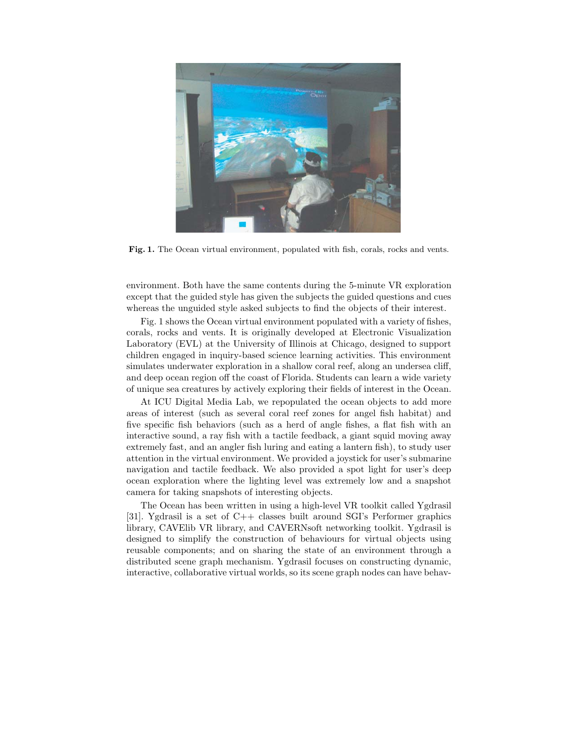

Fig. 1. The Ocean virtual environment, populated with fish, corals, rocks and vents.

environment. Both have the same contents during the 5-minute VR exploration except that the guided style has given the subjects the guided questions and cues whereas the unguided style asked subjects to find the objects of their interest.

Fig. 1 shows the Ocean virtual environment populated with a variety of fishes, corals, rocks and vents. It is originally developed at Electronic Visualization Laboratory (EVL) at the University of Illinois at Chicago, designed to support children engaged in inquiry-based science learning activities. This environment simulates underwater exploration in a shallow coral reef, along an undersea cliff, and deep ocean region off the coast of Florida. Students can learn a wide variety of unique sea creatures by actively exploring their fields of interest in the Ocean.

At ICU Digital Media Lab, we repopulated the ocean objects to add more areas of interest (such as several coral reef zones for angel fish habitat) and five specific fish behaviors (such as a herd of angle fishes, a flat fish with an interactive sound, a ray fish with a tactile feedback, a giant squid moving away extremely fast, and an angler fish luring and eating a lantern fish), to study user attention in the virtual environment. We provided a joystick for user's submarine navigation and tactile feedback. We also provided a spot light for user's deep ocean exploration where the lighting level was extremely low and a snapshot camera for taking snapshots of interesting objects.

The Ocean has been written in using a high-level VR toolkit called Ygdrasil [31]. Ygdrasil is a set of C++ classes built around SGI's Performer graphics library, CAVElib VR library, and CAVERNsoft networking toolkit. Ygdrasil is designed to simplify the construction of behaviours for virtual objects using reusable components; and on sharing the state of an environment through a distributed scene graph mechanism. Ygdrasil focuses on constructing dynamic, interactive, collaborative virtual worlds, so its scene graph nodes can have behav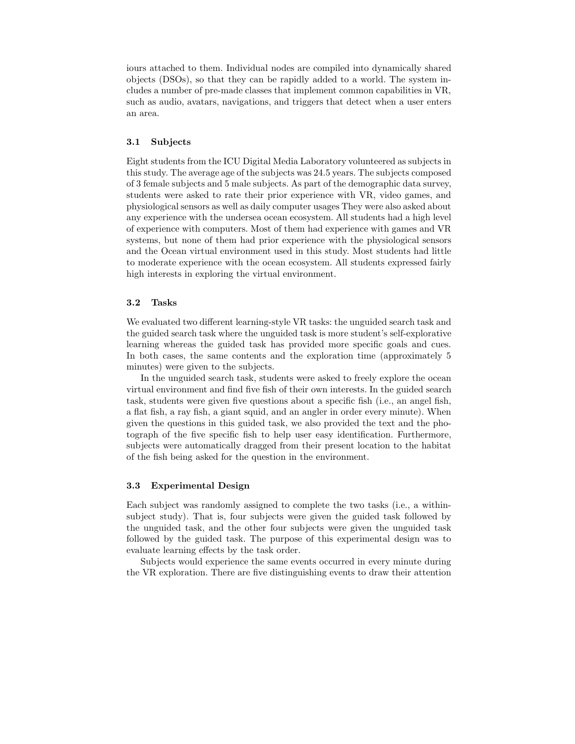iours attached to them. Individual nodes are compiled into dynamically shared objects (DSOs), so that they can be rapidly added to a world. The system includes a number of pre-made classes that implement common capabilities in VR, such as audio, avatars, navigations, and triggers that detect when a user enters an area.

### **3.1 Subjects**

Eight students from the ICU Digital Media Laboratory volunteered as subjects in this study. The average age of the subjects was 24.5 years. The subjects composed of 3 female subjects and 5 male subjects. As part of the demographic data survey, students were asked to rate their prior experience with VR, video games, and physiological sensors as well as daily computer usages They were also asked about any experience with the undersea ocean ecosystem. All students had a high level of experience with computers. Most of them had experience with games and VR systems, but none of them had prior experience with the physiological sensors and the Ocean virtual environment used in this study. Most students had little to moderate experience with the ocean ecosystem. All students expressed fairly high interests in exploring the virtual environment.

### **3.2 Tasks**

We evaluated two different learning-style VR tasks: the unguided search task and the guided search task where the unguided task is more student's self-explorative learning whereas the guided task has provided more specific goals and cues. In both cases, the same contents and the exploration time (approximately 5 minutes) were given to the subjects.

In the unguided search task, students were asked to freely explore the ocean virtual environment and find five fish of their own interests. In the guided search task, students were given five questions about a specific fish (i.e., an angel fish, a flat fish, a ray fish, a giant squid, and an angler in order every minute). When given the questions in this guided task, we also provided the text and the photograph of the five specific fish to help user easy identification. Furthermore, subjects were automatically dragged from their present location to the habitat of the fish being asked for the question in the environment.

### **3.3 Experimental Design**

Each subject was randomly assigned to complete the two tasks (i.e., a withinsubject study). That is, four subjects were given the guided task followed by the unguided task, and the other four subjects were given the unguided task followed by the guided task. The purpose of this experimental design was to evaluate learning effects by the task order.

Subjects would experience the same events occurred in every minute during the VR exploration. There are five distinguishing events to draw their attention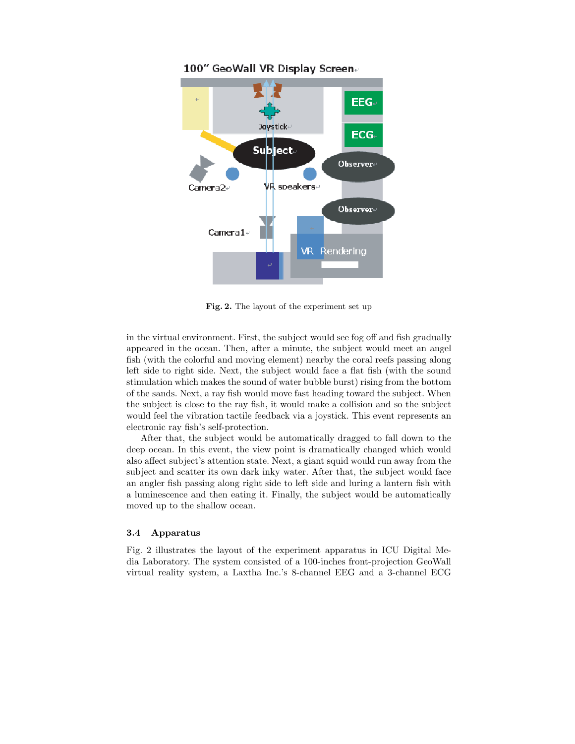

100" GeoWall VR Display Screen-

**Fig. 2.** The layout of the experiment set up

in the virtual environment. First, the subject would see fog off and fish gradually appeared in the ocean. Then, after a minute, the subject would meet an angel fish (with the colorful and moving element) nearby the coral reefs passing along left side to right side. Next, the subject would face a flat fish (with the sound stimulation which makes the sound of water bubble burst) rising from the bottom of the sands. Next, a ray fish would move fast heading toward the subject. When the subject is close to the ray fish, it would make a collision and so the subject would feel the vibration tactile feedback via a joystick. This event represents an electronic ray fish's self-protection.

After that, the subject would be automatically dragged to fall down to the deep ocean. In this event, the view point is dramatically changed which would also affect subject's attention state. Next, a giant squid would run away from the subject and scatter its own dark inky water. After that, the subject would face an angler fish passing along right side to left side and luring a lantern fish with a luminescence and then eating it. Finally, the subject would be automatically moved up to the shallow ocean.

### **3.4 Apparatus**

Fig. 2 illustrates the layout of the experiment apparatus in ICU Digital Media Laboratory. The system consisted of a 100-inches front-projection GeoWall virtual reality system, a Laxtha Inc.'s 8-channel EEG and a 3-channel ECG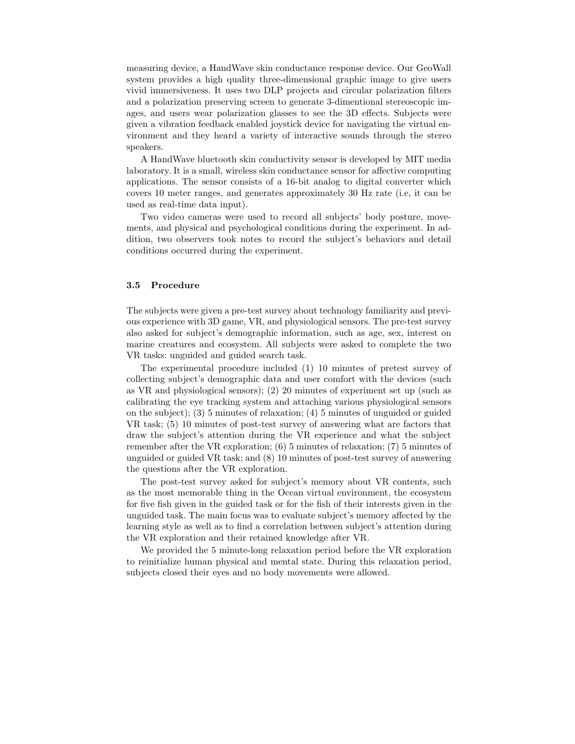measuring device, a HandWave skin conductance response device. Our GeoWall system provides a high quality three-dimensional graphic image to give users vivid immersiveness. It uses two DLP projects and circular polarization filters and a polarization preserving screen to generate 3-dimentional stereoscopic images, and users wear polarization glasses to see the 3D effects. Subjects were given a vibration feedback enabled joystick device for navigating the virtual environment and they heard a variety of interactive sounds through the stereo speakers.

A HandWave bluetooth skin conductivity sensor is developed by MIT media laboratory. It is a small, wireless skin conductance sensor for affective computing applications. The sensor consists of a 16-bit analog to digital converter which covers 10 meter ranges, and generates approximately 30 Hz rate (i.e, it can be used as real-time data input).

Two video cameras were used to record all subjects' body posture, movements, and physical and psychological conditions during the experiment. In addition, two observers took notes to record the subject's behaviors and detail conditions occurred during the experiment.

### **3.5 Procedure**

The subjects were given a pre-test survey about technology familiarity and previous experience with 3D game, VR, and physiological sensors. The pre-test survey also asked for subject's demographic information, such as age, sex, interest on marine creatures and ecosystem. All subjects were asked to complete the two VR tasks: unguided and guided search task.

The experimental procedure included (1) 10 minutes of pretest survey of collecting subject's demographic data and user comfort with the devices (such as VR and physiological sensors); (2) 20 minutes of experiment set up (such as calibrating the eye tracking system and attaching various physiological sensors on the subject); (3) 5 minutes of relaxation; (4) 5 minutes of unguided or guided VR task; (5) 10 minutes of post-test survey of answering what are factors that draw the subject's attention during the VR experience and what the subject remember after the VR exploration; (6) 5 minutes of relaxation; (7) 5 minutes of unguided or guided VR task; and (8) 10 minutes of post-test survey of answering the questions after the VR exploration.

The post-test survey asked for subject's memory about VR contents, such as the most memorable thing in the Ocean virtual environment, the ecosystem for five fish given in the guided task or for the fish of their interests given in the unguided task. The main focus was to evaluate subject's memory affected by the learning style as well as to find a correlation between subject's attention during the VR exploration and their retained knowledge after VR.

We provided the 5 minute-long relaxation period before the VR exploration to reinitialize human physical and mental state. During this relaxation period, subjects closed their eyes and no body movements were allowed.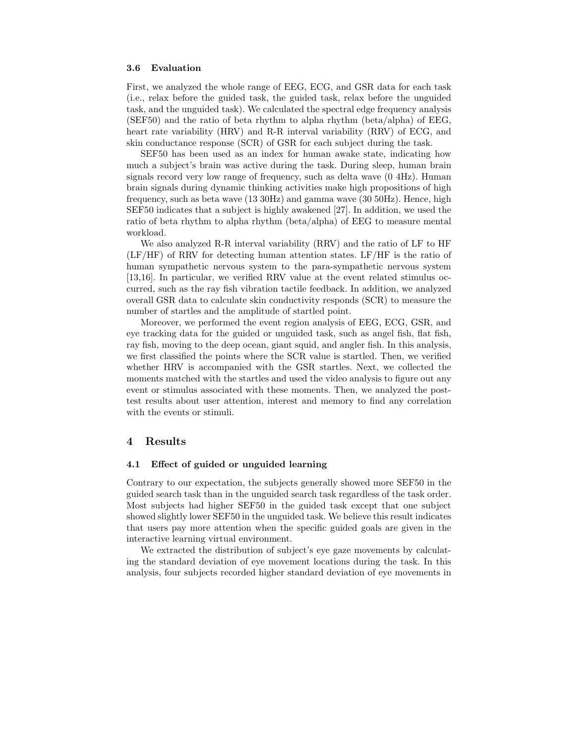#### **3.6 Evaluation**

First, we analyzed the whole range of EEG, ECG, and GSR data for each task (i.e., relax before the guided task, the guided task, relax before the unguided task, and the unguided task). We calculated the spectral edge frequency analysis (SEF50) and the ratio of beta rhythm to alpha rhythm (beta/alpha) of EEG, heart rate variability (HRV) and R-R interval variability (RRV) of ECG, and skin conductance response (SCR) of GSR for each subject during the task.

SEF50 has been used as an index for human awake state, indicating how much a subject's brain was active during the task. During sleep, human brain signals record very low range of frequency, such as delta wave (0 4Hz). Human brain signals during dynamic thinking activities make high propositions of high frequency, such as beta wave  $(1330Hz)$  and gamma wave  $(3050Hz)$ . Hence, high SEF50 indicates that a subject is highly awakened [27]. In addition, we used the ratio of beta rhythm to alpha rhythm (beta/alpha) of EEG to measure mental workload.

We also analyzed R-R interval variability (RRV) and the ratio of LF to HF  $(LF/HF)$  of RRV for detecting human attention states.  $LF/HF$  is the ratio of human sympathetic nervous system to the para-sympathetic nervous system [13,16]. In particular, we verified RRV value at the event related stimulus occurred, such as the ray fish vibration tactile feedback. In addition, we analyzed overall GSR data to calculate skin conductivity responds (SCR) to measure the number of startles and the amplitude of startled point.

Moreover, we performed the event region analysis of EEG, ECG, GSR, and eye tracking data for the guided or unguided task, such as angel fish, flat fish, ray fish, moving to the deep ocean, giant squid, and angler fish. In this analysis, we first classified the points where the SCR value is startled. Then, we verified whether HRV is accompanied with the GSR startles. Next, we collected the moments matched with the startles and used the video analysis to figure out any event or stimulus associated with these moments. Then, we analyzed the posttest results about user attention, interest and memory to find any correlation with the events or stimuli.

## **4 Results**

#### **4.1 Effect of guided or unguided learning**

Contrary to our expectation, the subjects generally showed more SEF50 in the guided search task than in the unguided search task regardless of the task order. Most subjects had higher SEF50 in the guided task except that one subject showed slightly lower SEF50 in the unguided task. We believe this result indicates that users pay more attention when the specific guided goals are given in the interactive learning virtual environment.

We extracted the distribution of subject's eye gaze movements by calculating the standard deviation of eye movement locations during the task. In this analysis, four subjects recorded higher standard deviation of eye movements in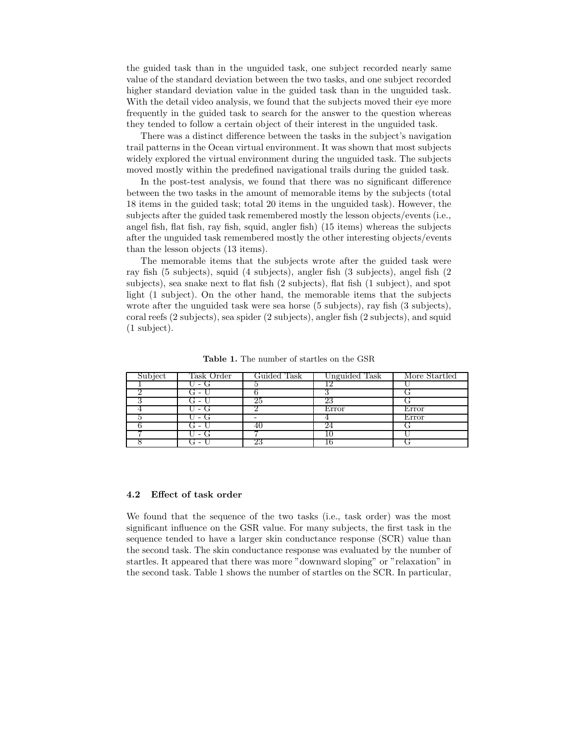the guided task than in the unguided task, one subject recorded nearly same value of the standard deviation between the two tasks, and one subject recorded higher standard deviation value in the guided task than in the unguided task. With the detail video analysis, we found that the subjects moved their eye more frequently in the guided task to search for the answer to the question whereas they tended to follow a certain object of their interest in the unguided task.

There was a distinct difference between the tasks in the subject's navigation trail patterns in the Ocean virtual environment. It was shown that most subjects widely explored the virtual environment during the unguided task. The subjects moved mostly within the predefined navigational trails during the guided task.

In the post-test analysis, we found that there was no significant difference between the two tasks in the amount of memorable items by the subjects (total 18 items in the guided task; total 20 items in the unguided task). However, the subjects after the guided task remembered mostly the lesson objects/events (i.e., angel fish, flat fish, ray fish, squid, angler fish) (15 items) whereas the subjects after the unguided task remembered mostly the other interesting objects/events than the lesson objects (13 items).

The memorable items that the subjects wrote after the guided task were ray fish (5 subjects), squid (4 subjects), angler fish (3 subjects), angel fish (2 subjects), sea snake next to flat fish (2 subjects), flat fish (1 subject), and spot light (1 subject). On the other hand, the memorable items that the subjects wrote after the unguided task were sea horse (5 subjects), ray fish (3 subjects), coral reefs (2 subjects), sea spider (2 subjects), angler fish (2 subjects), and squid (1 subject).

| Subject | Task Order             | Guided Task | Unguided Task | More Startled |
|---------|------------------------|-------------|---------------|---------------|
|         | U – Gi                 |             |               |               |
|         | $(\div -$              |             |               |               |
|         | $\dot{\mathbf{r}}$ $-$ | 25          | 23            |               |
|         | U - G                  |             | Error         | Error         |
|         | U – Gi                 |             |               | Error         |
|         | $\div$ -               | 41          |               |               |
|         | $U - G$                |             |               |               |
|         |                        | ∠.)         |               |               |

**Table 1.** The number of startles on the GSR

#### **4.2 Effect of task order**

We found that the sequence of the two tasks (i.e., task order) was the most significant influence on the GSR value. For many subjects, the first task in the sequence tended to have a larger skin conductance response (SCR) value than the second task. The skin conductance response was evaluated by the number of startles. It appeared that there was more "downward sloping" or "relaxation" in the second task. Table 1 shows the number of startles on the SCR. In particular,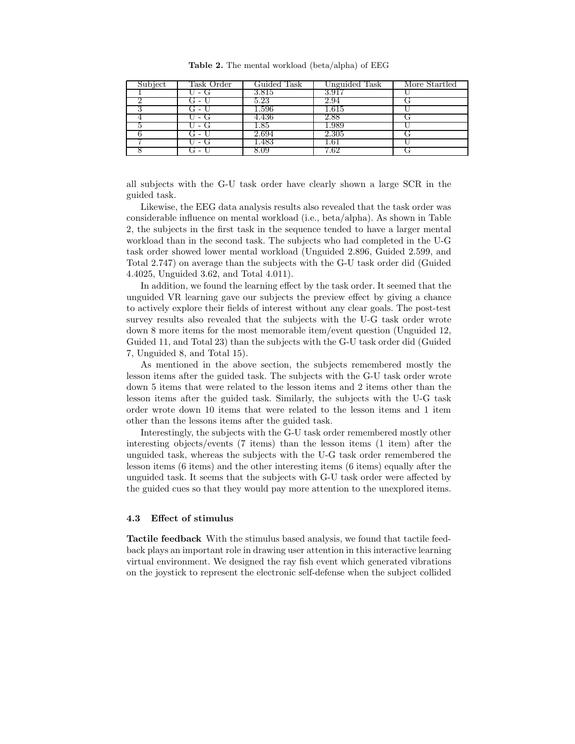**Table 2.** The mental workload (beta/alpha) of EEG

| Subject | Task Order                               | Guided Task | Unguided Task   | More Startled |
|---------|------------------------------------------|-------------|-----------------|---------------|
|         | - G                                      | 3.815       | $3.91^{\prime}$ |               |
|         | $\mathbf{r}$                             | 5.23        | 2.94            |               |
|         | $\mathbf{r}$                             | 1.596       | $1.615\,$       |               |
|         | $\sim$                                   | 4.436       | 2.88            |               |
|         | $\sim$                                   | $_{1.85}$   | 1.989           |               |
|         | $\overline{\phantom{a}}$<br>$\mathbf{r}$ | 2.694       | 2.305           |               |
|         | – G                                      | 1.483       | 1.61            |               |
|         | $\mathbf{r}$ $\mathbf{r}$                | .09         | .62             |               |

all subjects with the G-U task order have clearly shown a large SCR in the guided task.

Likewise, the EEG data analysis results also revealed that the task order was considerable influence on mental workload (i.e., beta/alpha). As shown in Table 2, the subjects in the first task in the sequence tended to have a larger mental workload than in the second task. The subjects who had completed in the U-G task order showed lower mental workload (Unguided 2.896, Guided 2.599, and Total 2.747) on average than the subjects with the G-U task order did (Guided 4.4025, Unguided 3.62, and Total 4.011).

In addition, we found the learning effect by the task order. It seemed that the unguided VR learning gave our subjects the preview effect by giving a chance to actively explore their fields of interest without any clear goals. The post-test survey results also revealed that the subjects with the U-G task order wrote down 8 more items for the most memorable item/event question (Unguided 12, Guided 11, and Total 23) than the subjects with the G-U task order did (Guided 7, Unguided 8, and Total 15).

As mentioned in the above section, the subjects remembered mostly the lesson items after the guided task. The subjects with the G-U task order wrote down 5 items that were related to the lesson items and 2 items other than the lesson items after the guided task. Similarly, the subjects with the U-G task order wrote down 10 items that were related to the lesson items and 1 item other than the lessons items after the guided task.

Interestingly, the subjects with the G-U task order remembered mostly other interesting objects/events (7 items) than the lesson items (1 item) after the unguided task, whereas the subjects with the U-G task order remembered the lesson items (6 items) and the other interesting items (6 items) equally after the unguided task. It seems that the subjects with G-U task order were affected by the guided cues so that they would pay more attention to the unexplored items.

#### **4.3 Effect of stimulus**

**Tactile feedback** With the stimulus based analysis, we found that tactile feedback plays an important role in drawing user attention in this interactive learning virtual environment. We designed the ray fish event which generated vibrations on the joystick to represent the electronic self-defense when the subject collided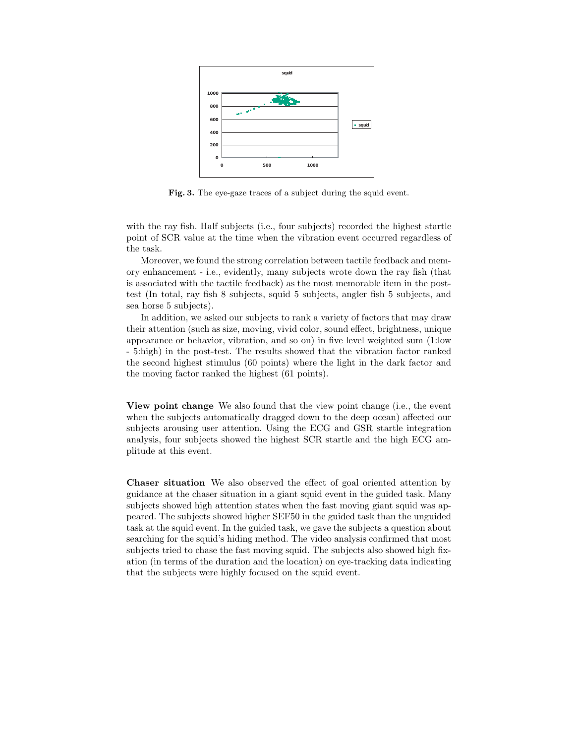

**Fig. 3.** The eye-gaze traces of a subject during the squid event.

with the ray fish. Half subjects (i.e., four subjects) recorded the highest startle point of SCR value at the time when the vibration event occurred regardless of the task.

Moreover, we found the strong correlation between tactile feedback and memory enhancement - i.e., evidently, many subjects wrote down the ray fish (that is associated with the tactile feedback) as the most memorable item in the posttest (In total, ray fish 8 subjects, squid 5 subjects, angler fish 5 subjects, and sea horse 5 subjects).

In addition, we asked our subjects to rank a variety of factors that may draw their attention (such as size, moving, vivid color, sound effect, brightness, unique appearance or behavior, vibration, and so on) in five level weighted sum (1:low - 5:high) in the post-test. The results showed that the vibration factor ranked the second highest stimulus (60 points) where the light in the dark factor and the moving factor ranked the highest (61 points).

**View point change** We also found that the view point change (i.e., the event when the subjects automatically dragged down to the deep ocean) affected our subjects arousing user attention. Using the ECG and GSR startle integration analysis, four subjects showed the highest SCR startle and the high ECG amplitude at this event.

**Chaser situation** We also observed the effect of goal oriented attention by guidance at the chaser situation in a giant squid event in the guided task. Many subjects showed high attention states when the fast moving giant squid was appeared. The subjects showed higher SEF50 in the guided task than the unguided task at the squid event. In the guided task, we gave the subjects a question about searching for the squid's hiding method. The video analysis confirmed that most subjects tried to chase the fast moving squid. The subjects also showed high fixation (in terms of the duration and the location) on eye-tracking data indicating that the subjects were highly focused on the squid event.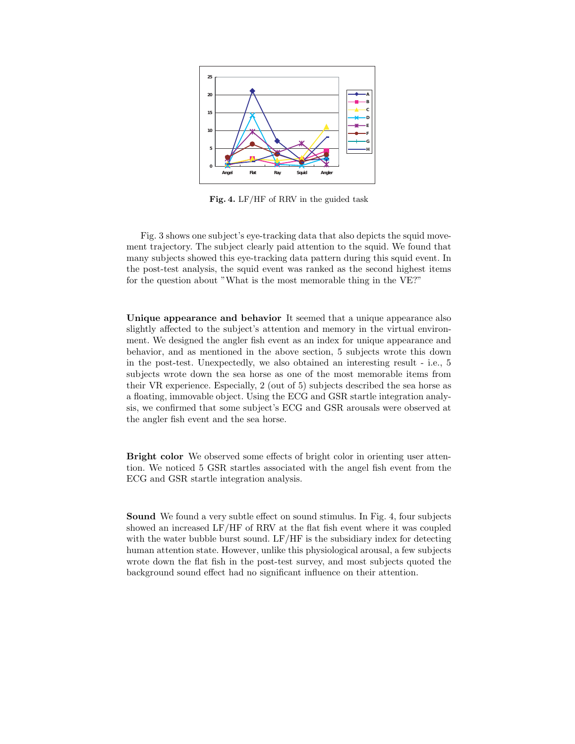

**Fig. 4.** LF/HF of RRV in the guided task

Fig. 3 shows one subject's eye-tracking data that also depicts the squid movement trajectory. The subject clearly paid attention to the squid. We found that many subjects showed this eye-tracking data pattern during this squid event. In the post-test analysis, the squid event was ranked as the second highest items for the question about "What is the most memorable thing in the VE?"

**Unique appearance and behavior** It seemed that a unique appearance also slightly affected to the subject's attention and memory in the virtual environment. We designed the angler fish event as an index for unique appearance and behavior, and as mentioned in the above section, 5 subjects wrote this down in the post-test. Unexpectedly, we also obtained an interesting result - i.e., 5 subjects wrote down the sea horse as one of the most memorable items from their VR experience. Especially, 2 (out of 5) subjects described the sea horse as a floating, immovable object. Using the ECG and GSR startle integration analysis, we confirmed that some subject's ECG and GSR arousals were observed at the angler fish event and the sea horse.

**Bright color** We observed some effects of bright color in orienting user attention. We noticed 5 GSR startles associated with the angel fish event from the ECG and GSR startle integration analysis.

**Sound** We found a very subtle effect on sound stimulus. In Fig. 4, four subjects showed an increased LF/HF of RRV at the flat fish event where it was coupled with the water bubble burst sound. LF/HF is the subsidiary index for detecting human attention state. However, unlike this physiological arousal, a few subjects wrote down the flat fish in the post-test survey, and most subjects quoted the background sound effect had no significant influence on their attention.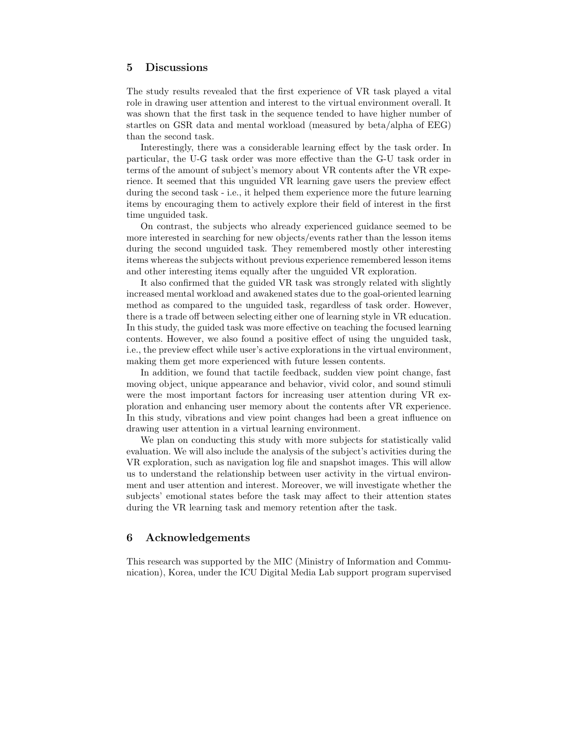# **5 Discussions**

The study results revealed that the first experience of VR task played a vital role in drawing user attention and interest to the virtual environment overall. It was shown that the first task in the sequence tended to have higher number of startles on GSR data and mental workload (measured by beta/alpha of EEG) than the second task.

Interestingly, there was a considerable learning effect by the task order. In particular, the U-G task order was more effective than the G-U task order in terms of the amount of subject's memory about VR contents after the VR experience. It seemed that this unguided VR learning gave users the preview effect during the second task - i.e., it helped them experience more the future learning items by encouraging them to actively explore their field of interest in the first time unguided task.

On contrast, the subjects who already experienced guidance seemed to be more interested in searching for new objects/events rather than the lesson items during the second unguided task. They remembered mostly other interesting items whereas the subjects without previous experience remembered lesson items and other interesting items equally after the unguided VR exploration.

It also confirmed that the guided VR task was strongly related with slightly increased mental workload and awakened states due to the goal-oriented learning method as compared to the unguided task, regardless of task order. However, there is a trade off between selecting either one of learning style in VR education. In this study, the guided task was more effective on teaching the focused learning contents. However, we also found a positive effect of using the unguided task, i.e., the preview effect while user's active explorations in the virtual environment, making them get more experienced with future lessen contents.

In addition, we found that tactile feedback, sudden view point change, fast moving object, unique appearance and behavior, vivid color, and sound stimuli were the most important factors for increasing user attention during VR exploration and enhancing user memory about the contents after VR experience. In this study, vibrations and view point changes had been a great influence on drawing user attention in a virtual learning environment.

We plan on conducting this study with more subjects for statistically valid evaluation. We will also include the analysis of the subject's activities during the VR exploration, such as navigation log file and snapshot images. This will allow us to understand the relationship between user activity in the virtual environment and user attention and interest. Moreover, we will investigate whether the subjects' emotional states before the task may affect to their attention states during the VR learning task and memory retention after the task.

## **6 Acknowledgements**

This research was supported by the MIC (Ministry of Information and Communication), Korea, under the ICU Digital Media Lab support program supervised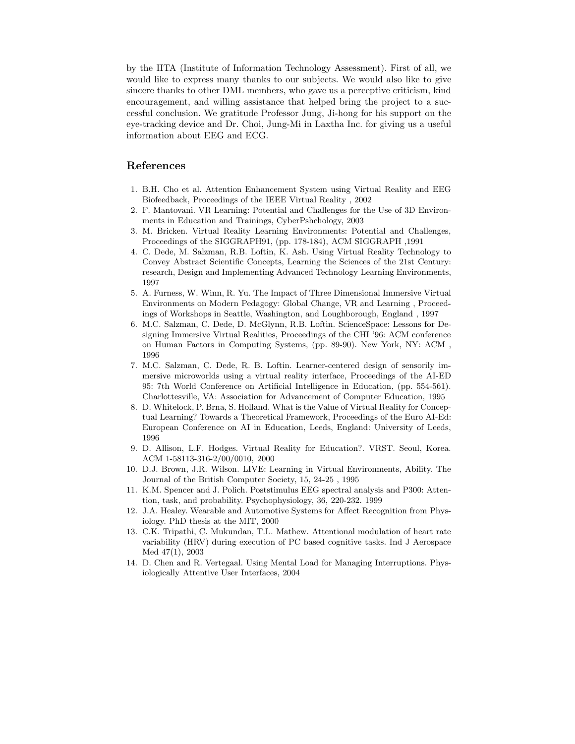by the IITA (Institute of Information Technology Assessment). First of all, we would like to express many thanks to our subjects. We would also like to give sincere thanks to other DML members, who gave us a perceptive criticism, kind encouragement, and willing assistance that helped bring the project to a successful conclusion. We gratitude Professor Jung, Ji-hong for his support on the eye-tracking device and Dr. Choi, Jung-Mi in Laxtha Inc. for giving us a useful information about EEG and ECG.

# **References**

- 1. B.H. Cho et al. Attention Enhancement System using Virtual Reality and EEG Biofeedback, Proceedings of the IEEE Virtual Reality , 2002
- 2. F. Mantovani. VR Learning: Potential and Challenges for the Use of 3D Environments in Education and Trainings, CyberPshchology, 2003
- 3. M. Bricken. Virtual Reality Learning Environments: Potential and Challenges, Proceedings of the SIGGRAPH91, (pp. 178-184), ACM SIGGRAPH ,1991
- 4. C. Dede, M. Salzman, R.B. Loftin, K. Ash. Using Virtual Reality Technology to Convey Abstract Scientific Concepts, Learning the Sciences of the 21st Century: research, Design and Implementing Advanced Technology Learning Environments, 1997
- 5. A. Furness, W. Winn, R. Yu. The Impact of Three Dimensional Immersive Virtual Environments on Modern Pedagogy: Global Change, VR and Learning , Proceedings of Workshops in Seattle, Washington, and Loughborough, England , 1997
- 6. M.C. Salzman, C. Dede, D. McGlynn, R.B. Loftin. ScienceSpace: Lessons for Designing Immersive Virtual Realities, Proceedings of the CHI '96: ACM conference on Human Factors in Computing Systems, (pp. 89-90). New York, NY: ACM , 1996
- 7. M.C. Salzman, C. Dede, R. B. Loftin. Learner-centered design of sensorily immersive microworlds using a virtual reality interface, Proceedings of the AI-ED 95: 7th World Conference on Artificial Intelligence in Education, (pp. 554-561). Charlottesville, VA: Association for Advancement of Computer Education, 1995
- 8. D. Whitelock, P. Brna, S. Holland. What is the Value of Virtual Reality for Conceptual Learning? Towards a Theoretical Framework, Proceedings of the Euro AI-Ed: European Conference on AI in Education, Leeds, England: University of Leeds, 1996
- 9. D. Allison, L.F. Hodges. Virtual Reality for Education?. VRST. Seoul, Korea. ACM 1-58113-316-2/00/0010, 2000
- 10. D.J. Brown, J.R. Wilson. LIVE: Learning in Virtual Environments, Ability. The Journal of the British Computer Society, 15, 24-25 , 1995
- 11. K.M. Spencer and J. Polich. Poststimulus EEG spectral analysis and P300: Attention, task, and probability. Psychophysiology, 36, 220-232. 1999
- 12. J.A. Healey. Wearable and Automotive Systems for Affect Recognition from Physiology. PhD thesis at the MIT, 2000
- 13. C.K. Tripathi, C. Mukundan, T.L. Mathew. Attentional modulation of heart rate variability (HRV) during execution of PC based cognitive tasks. Ind J Aerospace Med 47(1), 2003
- 14. D. Chen and R. Vertegaal. Using Mental Load for Managing Interruptions. Physiologically Attentive User Interfaces, 2004